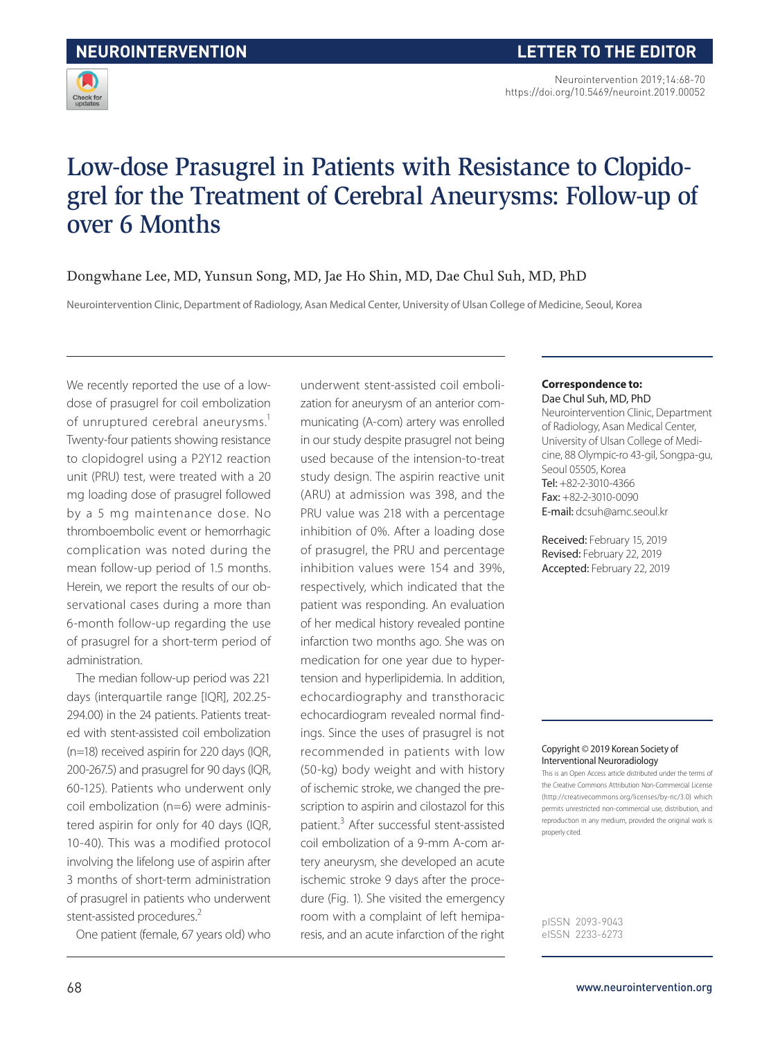

# Low-dose Prasugrel in Patients with Resistance to Clopidogrel for the Treatment of Cerebral Aneurysms: Follow-up of over 6 Months

### Dongwhane Lee, MD, Yunsun Song, MD, Jae Ho Shin, MD, Dae Chul Suh, MD, PhD

Neurointervention Clinic, Department of Radiology, Asan Medical Center, University of Ulsan College of Medicine, Seoul, Korea

We recently reported the use of a lowdose of prasugrel for coil embolization of unruptured cerebral aneurysms.<sup>1</sup> Twenty-four patients showing resistance to clopidogrel using a P2Y12 reaction unit (PRU) test, were treated with a 20 mg loading dose of prasugrel followed by a 5 mg maintenance dose. No thromboembolic event or hemorrhagic complication was noted during the mean follow-up period of 1.5 months. Herein, we report the results of our observational cases during a more than 6-month follow-up regarding the use of prasugrel for a short-term period of administration.

The median follow-up period was 221 days (interquartile range [IQR], 202.25- 294.00) in the 24 patients. Patients treated with stent-assisted coil embolization (n=18) received aspirin for 220 days (IQR, 200-267.5) and prasugrel for 90 days (IQR, 60-125). Patients who underwent only coil embolization (n=6) were administered aspirin for only for 40 days (IQR, 10-40). This was a modified protocol involving the lifelong use of aspirin after 3 months of short-term administration of prasugrel in patients who underwent stent-assisted procedures.<sup>2</sup>

One patient (female, 67 years old) who

underwent stent-assisted coil embolization for aneurysm of an anterior communicating (A-com) artery was enrolled in our study despite prasugrel not being used because of the intension-to-treat study design. The aspirin reactive unit (ARU) at admission was 398, and the PRU value was 218 with a percentage inhibition of 0%. After a loading dose of prasugrel, the PRU and percentage inhibition values were 154 and 39%, respectively, which indicated that the patient was responding. An evaluation of her medical history revealed pontine infarction two months ago. She was on medication for one year due to hypertension and hyperlipidemia. In addition, echocardiography and transthoracic echocardiogram revealed normal findings. Since the uses of prasugrel is not recommended in patients with low (50-kg) body weight and with history of ischemic stroke, we changed the prescription to aspirin and cilostazol for this patient.<sup>3</sup> After successful stent-assisted coil embolization of a 9-mm A-com artery aneurysm, she developed an acute ischemic stroke 9 days after the procedure (Fig. 1). She visited the emergency room with a complaint of left hemiparesis, and an acute infarction of the right

#### **Correspondence to:** Dae Chul Suh, MD, PhD

Neurointervention Clinic, Department of Radiology, Asan Medical Center, University of Ulsan College of Medicine, 88 Olympic-ro 43-gil, Songpa-gu, Seoul 05505, Korea Tel: +82-2-3010-4366 Fax: +82-2-3010-0090 E-mail: dcsuh@amc.seoul.kr

Received: February 15, 2019 Revised: February 22, 2019 Accepted: February 22, 2019

#### Copyright © 2019 Korean Society of Interventional Neuroradiology

This is an Open Access article distributed under the terms of the Creative Commons Attribution Non-Commercial License (http://creativecommons.org/licenses/by-nc/3.0) which permits unrestricted non-commercial use, distribution, and reproduction in any medium, provided the original work is properly cited.

pISSN 2093-9043 eISSN 2233-6273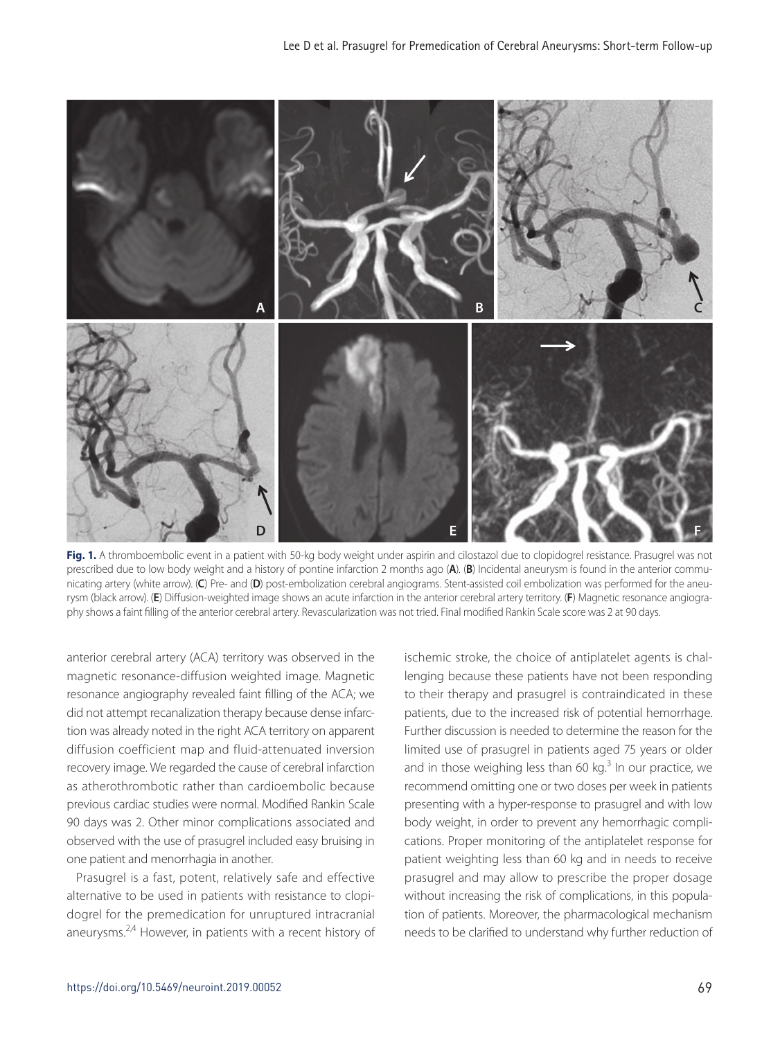

Fig. 1. A thromboembolic event in a patient with 50-kg body weight under aspirin and cilostazol due to clopidogrel resistance. Prasugrel was not prescribed due to low body weight and a history of pontine infarction 2 months ago (**A**). (**B**) Incidental aneurysm is found in the anterior communicating artery (white arrow). (**C**) Pre- and (**D**) post-embolization cerebral angiograms. Stent-assisted coil embolization was performed for the aneurysm (black arrow). (**E**) Diffusion-weighted image shows an acute infarction in the anterior cerebral artery territory. (**F**) Magnetic resonance angiography shows a faint filling of the anterior cerebral artery. Revascularization was not tried. Final modified Rankin Scale score was 2 at 90 days.

anterior cerebral artery (ACA) territory was observed in the magnetic resonance-diffusion weighted image. Magnetic resonance angiography revealed faint filling of the ACA; we did not attempt recanalization therapy because dense infarction was already noted in the right ACA territory on apparent diffusion coefficient map and fluid-attenuated inversion recovery image. We regarded the cause of cerebral infarction as atherothrombotic rather than cardioembolic because previous cardiac studies were normal. Modified Rankin Scale 90 days was 2. Other minor complications associated and observed with the use of prasugrel included easy bruising in one patient and menorrhagia in another.

Prasugrel is a fast, potent, relatively safe and effective alternative to be used in patients with resistance to clopidogrel for the premedication for unruptured intracranial aneurysms. $2,4$  However, in patients with a recent history of ischemic stroke, the choice of antiplatelet agents is challenging because these patients have not been responding to their therapy and prasugrel is contraindicated in these patients, due to the increased risk of potential hemorrhage. Further discussion is needed to determine the reason for the limited use of prasugrel in patients aged 75 years or older and in those weighing less than 60 kg.<sup>3</sup> In our practice, we recommend omitting one or two doses per week in patients presenting with a hyper-response to prasugrel and with low body weight, in order to prevent any hemorrhagic complications. Proper monitoring of the antiplatelet response for patient weighting less than 60 kg and in needs to receive prasugrel and may allow to prescribe the proper dosage without increasing the risk of complications, in this population of patients. Moreover, the pharmacological mechanism needs to be clarified to understand why further reduction of